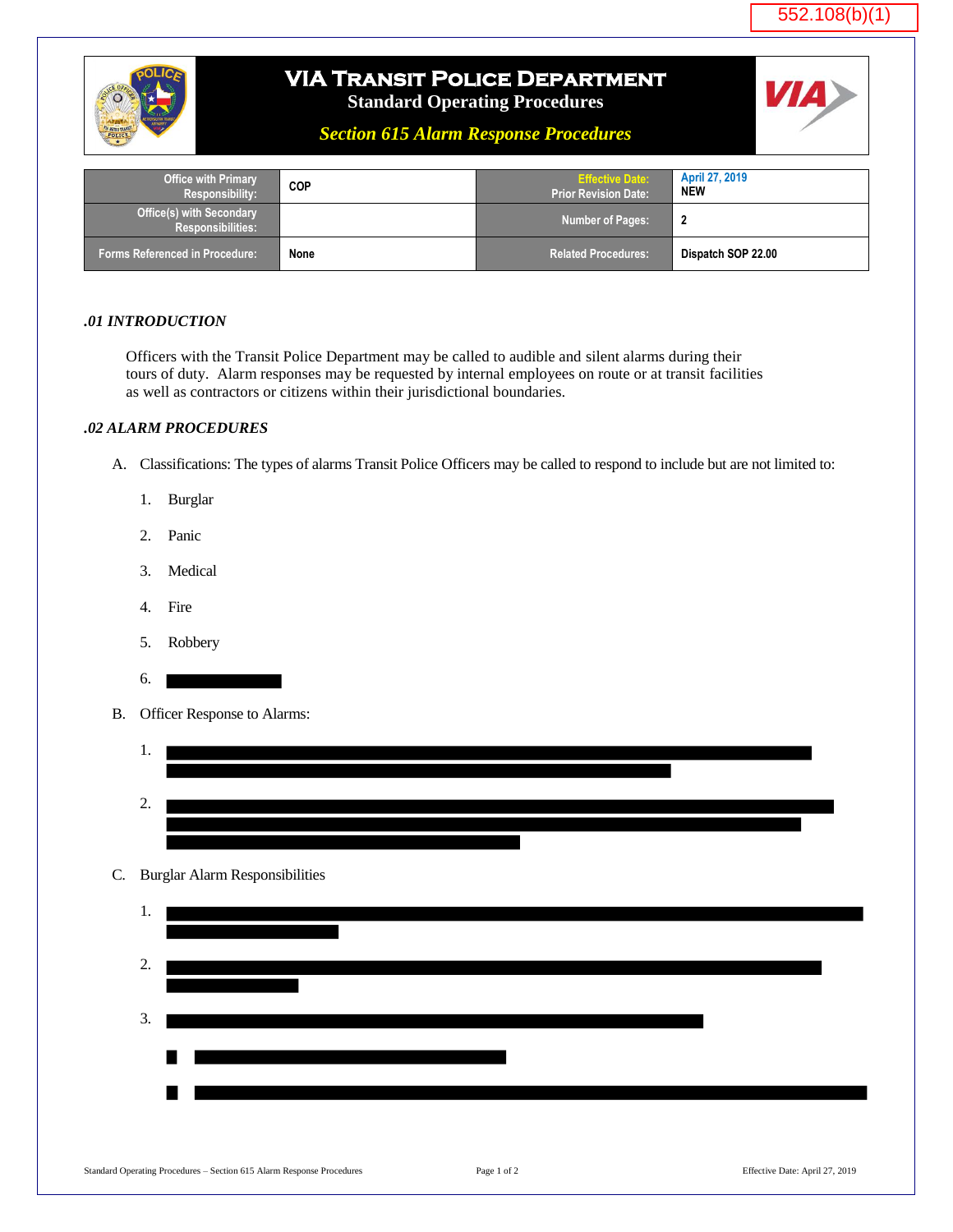



## **VIA Transit Police Department**

**Standard Operating Procedures**

*Section 615 Alarm Response Procedures*



| <b>Office with Primary</b><br><b>Responsibility:</b>        | COP  | <b>Effective Date:</b><br><b>Prior Revision Date:</b> | <b>April 27, 2019</b><br><b>NEW</b> |
|-------------------------------------------------------------|------|-------------------------------------------------------|-------------------------------------|
| <b>Office(s) with Secondary</b><br><b>Responsibilities:</b> |      | Number of Pages:                                      | $\overline{\mathbf{2}}$             |
| <b>Forms Referenced in Procedure:</b>                       | None | Related Procedures:                                   | Dispatch SOP 22.00                  |

## *.01 INTRODUCTION*

Officers with the Transit Police Department may be called to audible and silent alarms during their tours of duty. Alarm responses may be requested by internal employees on route or at transit facilities as well as contractors or citizens within their jurisdictional boundaries.

## *.02 ALARM PROCEDURES*

- A. Classifications: The types of alarms Transit Police Officers may be called to respond to include but are not limited to:
	- 1. Burglar
	- 2. Panic
	- 3. Medical
	- 4. Fire
	- 5. Robbery
	- 6.
- B. Officer Response to Alarms:



## C. Burglar Alarm Responsibilities

| 1. |     |
|----|-----|
| 2. |     |
| 3. |     |
|    | 8 I |
|    |     |